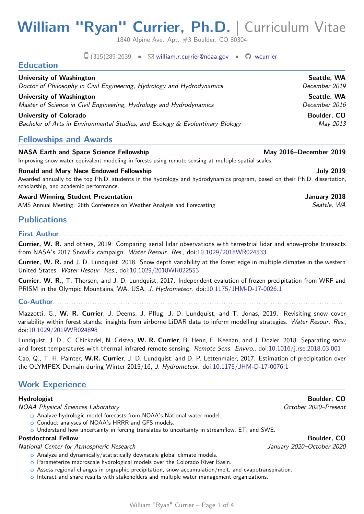# **William "Ryan" Currier, Ph.D.** | Curriculum Vitae

1840 Alpine Ave. Apt. #3 Boulder, CO 80304

 $\Box$  (315)289-2639 •  $\Box$  [william.r.currier@noaa.gov](mailto:william.r.currier@noaa.gov) •  $\Box$  [wcurrier](https://github.com/wcurrier/)

| <b>NASA Earth and Space Science Fellowship</b>                                | May 2016-December 2019 |
|-------------------------------------------------------------------------------|------------------------|
| <b>Fellowships and Awards</b>                                                 |                        |
| University of Colorado                                                        | Boulder, CO            |
| Bachelor of Arts in Environmental Studies, and Ecology & Evoluntinary Biology | May 2013               |
| University of Washington                                                      | Seattle, WA            |
| Master of Science in Civil Engineering, Hydrology and Hydrodynamics           | December 2016          |
| University of Washington                                                      | Seattle, WA            |
| Doctor of Philosophy in Civil Engineering, Hydrology and Hydrodynamics        | December 2019          |
| <b>Education</b>                                                              |                        |

Improving snow water equivalent modeling in forests using remote sensing at multiple spatial scales.

**Ronald and Mary Nece Endowed Fellowship State of American Control of American Control of American Control of American Control of American Control of American Control of American Control of American Control of American Con** 

Awarded annually to the top Ph.D. students in the hydrology and hydrodynamics program, based on their Ph.D. dissertation, scholarship, and academic performance.

Award Winning Student Presentation **Award Winning Student Presentation** AMS Annual Meeting: 28th Conference on Weather Analysis and Forecasting Seattle, WA

# **Publications**

#### **First Author**. . . . . . . . . . . . . . . . . . . . . . . . . . . . . . . . . . . . . . . . . . . . . . . . . . . . . . . . . . . . . . . . . . . . . . . . . . . . . . . . . . . . . . . . . . . . . . . . . . . . . . . . . . . . . . . . . . . . . . . . . .

**Currier, W. R.** and others, 2019. Comparing aerial lidar observations with terrestrial lidar and snow-probe transects from NASA's 2017 SnowEx campaign. Water Resour. Res., doi[:10.1029/2018WR024533](https://agupubs.onlinelibrary.wiley.com/doi/full/10.1029/2018WR024533)

**Currier, W. R.** and J. D. Lundquist, 2018. Snow depth variability at the forest edge in multiple climates in the western United States. Water Resour. Res., doi[:10.1029/2018WR022553](https://agupubs.onlinelibrary.wiley.com/doi/full/10.1029/2018WR022553)

**Currier, W. R.**, T. Thorson, and J. D. Lundquist, 2017. Independent evalution of frozen precipitation from WRF and PRISM in the Olympic Mountains, WA, USA. J. Hydrometeor. doi[:10.1175/JHM-D-17-0026.1](https://journals.ametsoc.org/doi/full/10.1175/JHM-D-17-0026.1)

**Co-Author**. . . . . . . . . . . . . . . . . . . . . . . . . . . . . . . . . . . . . . . . . . . . . . . . . . . . . . . . . . . . . . . . . . . . . . . . . . . . . . . . . . . . . . . . . . . . . . . . . . . . . . . . . . . . . . . . . . . . . . . . . . . . .

Mazzotti, G., **W. R. Currier**, J. Deems, J. Pflug, J. D. Lundquist, and T. Jonas, 2019. Revisiting snow cover variability within forest stands: insights from airborne LiDAR data to inform modelling strategies. Water Resour. Res., doi[:10.1029/2019WR024898](https://agupubs.onlinelibrary.wiley.com/doi/full/10.1029/2019WR024898)

Lundquist, J. D., C. Chickadel, N. Cristea, **W. R. Currier**, B. Henn, E. Keenan, and J. Dozier, 2018. Separating snow and forest temperatures with thermal infrared remote sensing. Remote Sens. Enviro., doi[:10.1016/j.rse.2018.03.001](https://www.sciencedirect.com/science/article/pii/S0034425718300944)

Cao, Q., T. H. Painter, **W.R. Currier**, J. D. Lundquist, and D. P. Lettenmaier, 2017. Estimation of precipitation over the OLYMPEX Domain during Winter 2015/16, J. Hydrometeor. doi[:10.1175/JHM-D-17-0076.1](https://journals.ametsoc.org/doi/full/10.1175/JHM-D-17-0076.1)

# **Work Experience**

### **Hydrologist Boulder, CO**

NOAA Physical Sciences Laboratory and the state of the control of the Control of the Control of the Control of the Control of the Control of the Control of the Control of the Control of the Control of the Control of the Co

- o Analyze hydrologic model forecasts from NOAA's National water model.
- o Conduct analyses of NOAA's HRRR and GFS models.
- o Understand how uncertainty in forcing translates to uncertainty in streamflow, ET, and SWE.

# National Center for Atmospheric Research January 2020–October 2020

- $\circ$  Analyze and dynamically/statistically downscale global climate models.
- o Parameterize macroscale hydrological models over the Colorado River Basin.
- $\circ$  Assess regional changes in orgraphic precipitation, snow accumulation/melt, and evapotranspiration.
- o Interact and share results with stakeholders and multiple water management organizations.

**Postdoctoral Fellow Boulder, CO**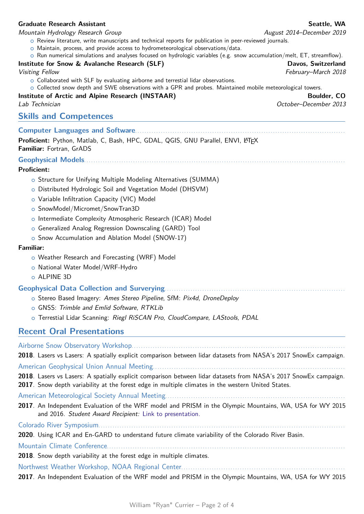# **Graduate Research Assistant Seattle, WA**

#### Mountain Hydrology Research Group August 2014–December 2019

- o Review literature, write manuscripts and technical reports for publication in peer-reviewed journals.
- $\circ$  Maintain, process, and provide access to hydrometeorological observations/data.
- o Run numerical simulations and analyses focused on hydrologic variables (e.g. snow accumulation/melt, ET, streamflow).

### **Institute for Snow & Avalanche Research (SLF)** And the Community of the Davos, Switzerland

 $\circ$  Collaborated with SLF by evaluating airborne and terrestial lidar observations.

o Collected snow depth and SWE observations with a GPR and probes. Maintained mobile meteorological towers.

# **Institute of Arctic and Alpine Research (INSTAAR) Boulder, CO**

Lab Technician October–December 2013

# **Skills and Competences**

### **Computer Languages and Software**. . . . . . . . . . . . . . . . . . . . . . . . . . . . . . . . . . . . . . . . . . . . . . . . . . . . . . . . . . . . . . . . . . . . . . . . . . . . . . . . . . . . . . . . . .

Proficient: Python, Matlab, C, Bash, HPC, GDAL, QGIS, GNU Parallel, ENVI, LATEX **Familiar:** Fortran, GrADS

**Geophysical Models**. . . . . . . . . . . . . . . . . . . . . . . . . . . . . . . . . . . . . . . . . . . . . . . . . . . . . . . . . . . . . . . . . . . . . . . . . . . . . . . . . . . . . . . . . . . . . . . . . . . . . . . . . . . . . . . .

### **Proficient:**

- o Structure for Unifying Multiple Modeling Alternatives (SUMMA)
- o Distributed Hydrologic Soil and Vegetation Model (DHSVM)
- o Variable Infiltration Capacity (VIC) Model
- o SnowModel/Micromet/SnowTran3D
- o Intermediate Complexity Atmospheric Research (ICAR) Model
- o Generalized Analog Regression Downscaling (GARD) Tool
- o Snow Accumulation and Ablation Model (SNOW-17)

#### **Familiar:**

- o Weather Research and Forecasting (WRF) Model
- o National Water Model/WRF-Hydro
- o ALPINE 3D

### **Geophysical Data Collection and Surverying**. . . . . . . . . . . . . . . . . . . . . . . . . . . . . . . . . . . . . . . . . . . . . . . . . . . . . . . . . . . . . . . . . . . . . . . . . . . . .

- o Stereo Based Imagery: Ames Stereo Pipeline, SfM: Pix4d, DroneDeploy
- o GNSS: Trimble and Emlid Software, RTKLib
- o Terrestial Lidar Scanning: Riegl RiSCAN Pro, CloudCompare, LAStools, PDAL

# **Recent Oral Presentations**

| 2018. Lasers vs Lasers: A spatially explicit comparison between lidar datasets from NASA's 2017 SnowEx campaign.                                                                                                       |
|------------------------------------------------------------------------------------------------------------------------------------------------------------------------------------------------------------------------|
|                                                                                                                                                                                                                        |
| 2018. Lasers vs Lasers: A spatially explicit comparison between lidar datasets from NASA's 2017 SnowEx campaign.<br>2017. Snow depth variability at the forest edge in multiple climates in the western United States. |
|                                                                                                                                                                                                                        |
| 2017. An Independent Evaluation of the WRF model and PRISM in the Olympic Mountains, WA, USA for WY 2015<br>and 2016. Student Award Recipient: Link to presentation.                                                   |
|                                                                                                                                                                                                                        |
| 2020. Using ICAR and En-GARD to understand future climate variability of the Colorado River Basin.                                                                                                                     |
|                                                                                                                                                                                                                        |
| 2018. Snow depth variability at the forest edge in multiple climates.                                                                                                                                                  |
|                                                                                                                                                                                                                        |
| 2017. An Independent Evaluation of the WRF model and PRISM in the Olympic Mountains, WA, USA for WY 2015                                                                                                               |

Visiting Fellow February–March 2018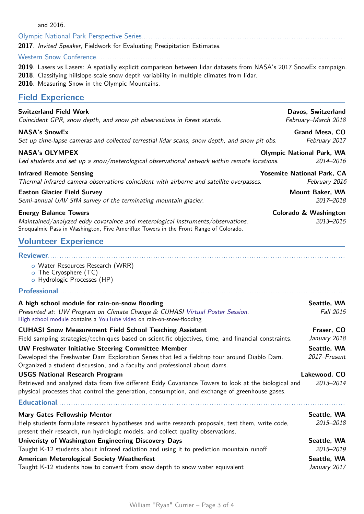| anu zuiu.                                                                                                                                                                                                                                                       |                                               |
|-----------------------------------------------------------------------------------------------------------------------------------------------------------------------------------------------------------------------------------------------------------------|-----------------------------------------------|
| Olympic National Park Perspective Series.                                                                                                                                                                                                                       |                                               |
| 2017. Invited Speaker, Fieldwork for Evaluating Precipitation Estimates.                                                                                                                                                                                        |                                               |
|                                                                                                                                                                                                                                                                 |                                               |
| 2019. Lasers vs Lasers: A spatially explicit comparison between lidar datasets from NASA's 2017 SnowEx campaign.<br>2018. Classifying hillslope-scale snow depth variability in multiple climates from lidar.<br>2016. Measuring Snow in the Olympic Mountains. |                                               |
| <b>Field Experience</b>                                                                                                                                                                                                                                         |                                               |
| <b>Switzerland Field Work</b><br>Coincident GPR, snow depth, and snow pit observations in forest stands.                                                                                                                                                        | Davos, Switzerland<br>February-March 2018     |
| <b>NASA's SnowEx</b><br>Set up time-lapse cameras and collected terrestial lidar scans, snow depth, and snow pit obs.                                                                                                                                           | <b>Grand Mesa, CO</b><br>February 2017        |
| <b>NASA's OLYMPEX</b><br>Led students and set up a snow/meterological observational network within remote locations.                                                                                                                                            | <b>Olympic National Park, WA</b><br>2014-2016 |
| <b>Infrared Remote Sensing</b>                                                                                                                                                                                                                                  | <b>Yosemite National Park, CA</b>             |
| Thermal infrared camera observations coincident with airborne and satellite overpasses.                                                                                                                                                                         | February 2016                                 |
| <b>Easton Glacier Field Survey</b><br>Semi-annual UAV SfM survey of the terminating mountain glacier.                                                                                                                                                           | Mount Baker, WA<br>2017-2018                  |
| <b>Energy Balance Towers</b><br>Maintained/analyzed eddy covaraince and meterological instruments/observations.<br>Snoqualmie Pass in Washington, Five Ameriflux Towers in the Front Range of Colorado.                                                         | Colorado & Washington<br>2013-2015            |
| <b>Volunteer Experience</b>                                                                                                                                                                                                                                     |                                               |
| <b>Reviewer</b>                                                                                                                                                                                                                                                 |                                               |
| o Water Resources Research (WRR)<br>o The Cryosphere (TC)<br>o Hydrologic Processes (HP)                                                                                                                                                                        |                                               |
| Professional material contracts and a set of the contract of the contract of the contract of the contract of the contract of the contract of the contract of the contract of the contract of the contract of the contract of t                                  |                                               |
| A high school module for rain-on-snow flooding                                                                                                                                                                                                                  | Seattle, WA                                   |
| Presented at: UW Program on Climate Change & CUHASI Virtual Poster Session.<br>High school module contains a YouTube video on rain-on-snow-flooding                                                                                                             | Fall 2015                                     |
| <b>CUHASI Snow Measurement Field School Teaching Assistant</b>                                                                                                                                                                                                  | Fraser, CO                                    |
| Field sampling strategies/techniques based on scientific objectives, time, and financial constraints.                                                                                                                                                           | January 2018                                  |
| <b>UW Freshwater Initiative Steering Committee Member</b><br>Developed the Freshwater Dam Exploration Series that led a fieldtrip tour around Diablo Dam.<br>Organized a student discussion, and a faculty and professional about dams.                         | Seattle, WA<br>2017-Present                   |
| <b>USGS National Research Program</b>                                                                                                                                                                                                                           | Lakewood, CO                                  |
| Retrieved and analyzed data from five different Eddy Covariance Towers to look at the biological and<br>physical processes that control the generation, consumption, and exchange of greenhouse gases.                                                          | 2013-2014                                     |
| <b>Educational</b>                                                                                                                                                                                                                                              |                                               |
| <b>Mary Gates Fellowship Mentor</b>                                                                                                                                                                                                                             | Seattle, WA                                   |
| Help students formulate research hypotheses and write research proposals, test them, write code,<br>present their research, run hydrologic models, and collect quality observations.                                                                            | 2015-2018                                     |
| Univeristy of Washington Engineering Discovery Days<br>ولفرياته والمستورين المسروب ومستنقصتا المسرور المستعملات تنفيذ والمراوي ويقسم المربية                                                                                                                    | Seattle, WA<br>oatr oata                      |

# Taught K-12 students about infrared radiation and using it to prediction mountain runoff 2015-2019 American Meterological Society Weatherfest **Seattle, WA** Taught K-12 students how to convert from snow depth to snow water equivalent January 2017